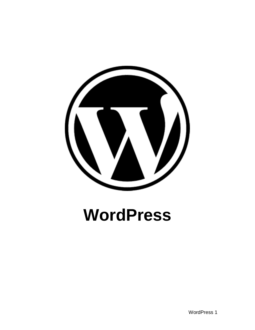

# **WordPress**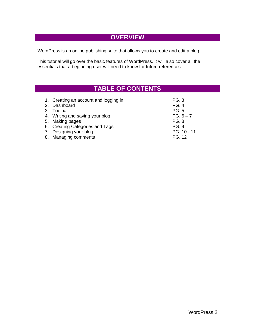#### **OVERVIEW**

WordPress is an online publishing suite that allows you to create and edit a blog.

This tutorial will go over the basic features of WordPress. It will also cover all the essentials that a beginning user will need to know for future references.

## **TABLE OF CONTENTS**

| 1. Creating an account and logging in | <b>PG.3</b>  |
|---------------------------------------|--------------|
| 2. Dashboard                          | <b>PG. 4</b> |
| 3. Toolbar                            | <b>PG.5</b>  |
| 4. Writing and saving your blog       | $PG. 6 - 7$  |
| 5. Making pages                       | <b>PG. 8</b> |
| 6. Creating Categories and Tags       | <b>PG. 9</b> |
| 7. Designing your blog                | PG. 10 - 11  |
| 8. Managing comments                  | PG. 12       |
|                                       |              |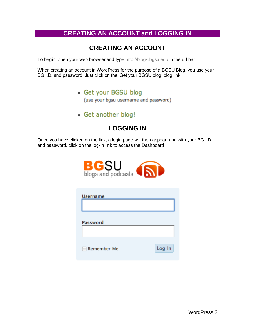## **CREATING AN ACCOUNT and LOGGING IN**

## **CREATING AN ACCOUNT**

To begin, open your web browser and type http://blogs.bgsu.edu in the url bar

When creating an account in WordPress for the purpose of a BGSU Blog, you use your BG I.D. and password. Just click on the "Get your BGSU blog" blog link

• Get your BGSU blog

(use your bgsu username and password)

• Get another blog!

## **LOGGING IN**

Once you have clicked on the link, a login page will then appear, and with your BG I.D. and password, click on the log-in link to access the Dashboard



| <b>Username</b> |        |
|-----------------|--------|
| <b>Password</b> |        |
| Remember Me     | Log In |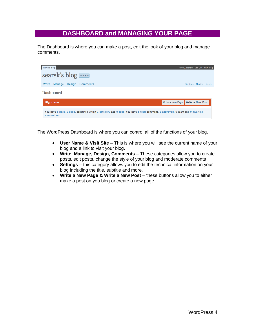#### **DASHBOARD and MANAGING YOUR PAGE**

The Dashboard is where you can make a post, edit the look of your blog and manage comments.



The WordPress Dashboard is where you can control all of the functions of your blog.

- **User Name & Visit Site** This is where you will see the current name of your  $\bullet$ blog and a link to visit your blog.
- **Write, Manage, Design, Comments** These categories allow you to create posts, edit posts, change the style of your blog and moderate comments
- **Settings** this category allows you to edit the technical information on your blog including the title, subtitle and more.
- **Write a New Page & Write a New Post** these buttons allow you to either  $\bullet$ make a post on you blog or create a new page.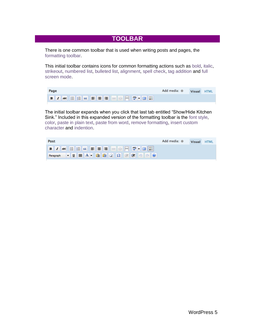#### **TOOLBAR**

There is one common toolbar that is used when writing posts and pages, the formatting toolbar.

This initial toolbar contains icons for common formatting actions such as bold, italic, strikeout, numbered list, bulleted list, alignment, spell check, tag addition and full screen mode.

| Page                         | Add media: $\#$ | Visual HTML |  |
|------------------------------|-----------------|-------------|--|
| ▐▋▎▊▗▅▖░░░░░░░░░░░░░░░░░░░░░ |                 |             |  |

The initial toolbar expands when you click that last tab entitled "Show/Hide Kitchen Sink." Included in this expanded version of the formatting toolbar is the font style, color, paste in plain text, paste from word, remove formatting, insert custom character and indention.

| Post | Add media: $\#$<br><b>Visual</b><br><b>HTML</b> |
|------|-------------------------------------------------|
|      |                                                 |
|      |                                                 |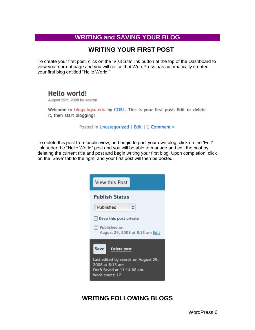## **WRITING and SAVING YOUR BLOG**

#### **WRITING YOUR FIRST POST**

To create your first post, click on the "Visit Site" link button at the top of the Dashboard to view your current page and you will notice that WordPress has automatically created your first blog entitled "Hello World!"

## Hello world!

August 29th, 2008 by searsk

Welcome to blogs.bgsu.edu by COBL. This is your first post. Edit or delete it, then start blogging!

Posted in Uncategorized | Edit | 1 Comment »

To delete this post from public view, and begin to post your own blog, click on the "Edit" link under the "Hello World" post and you will be able to manage and edit the post by deleting the current title and post and begin writing your first blog. Upon completion, click on the "Save" tab to the right, and your first post will then be posted.

| <b>View this Post</b>                                                                                                                   |
|-----------------------------------------------------------------------------------------------------------------------------------------|
| <b>Publish Status</b><br>Published                                                                                                      |
| $\Box$ Keep this post private<br>Hill Published on:<br>August 29, 2008 at 8:15 am Edit                                                  |
| Save  <br><b>Delete post</b><br>Last edited by searsk on August 29,<br>2008 at 8:15 am<br>Draft Saved at 11:14:08 am.<br>Word count: 17 |

## **WRITING FOLLOWING BLOGS**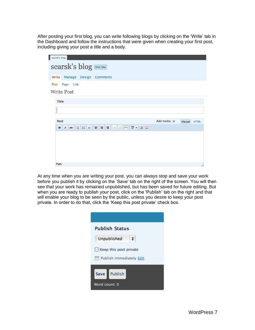After posting your first blog, you can write following blogs by clicking on the "Write" tab in the Dashboard and follow the instructions that were given when creating your first post, including giving your post a title and a body.

| searsk's blog                       |                     |             |
|-------------------------------------|---------------------|-------------|
| Searsk's blog Visit Site            |                     |             |
| Manage Design Comments<br>Write     |                     |             |
| Post Page Link<br><b>Write Post</b> |                     |             |
| <b>Title</b>                        |                     |             |
|                                     |                     |             |
| Post                                | Add media: * Visual | <b>HTML</b> |
|                                     |                     |             |
|                                     |                     |             |
|                                     |                     |             |
|                                     |                     |             |
|                                     |                     |             |
| Path:                               |                     | h           |

At any time when you are writing your post, you can always stop and save your work before you publish it by clicking on the "Save" tab on the right of the screen. You will then see that your work has remained unpublished, but has been saved for future editing. But when you are ready to publish your post, click on the 'Publish' tab on the right and that will enable your blog to be seen by the public, unless you desire to keep your post private. In order to do that, click the 'Keep this post private' check box.

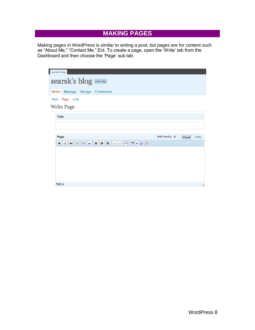## **MAKING PAGES**

Making pages in WordPress is similar to writing a post, but pages are for content such as "About Me," "Contact Me." Ect. To create a page, open the "Write" tab from the Dashboard and then choose the 'Page' sub tab.

| searsk's blog                   |                     |             |
|---------------------------------|---------------------|-------------|
| Searsk's blog Visit Site        |                     |             |
| Manage Design Comments<br>Write |                     |             |
| Page Link<br>Post               |                     |             |
| <b>Write Page</b>               |                     |             |
| <b>Title</b>                    |                     |             |
|                                 |                     |             |
|                                 |                     |             |
| Page                            | Add media: * Visual | <b>HTML</b> |
| BZMQEKEEEER                     |                     |             |
|                                 |                     |             |
|                                 |                     |             |
|                                 |                     |             |
|                                 |                     |             |
|                                 |                     |             |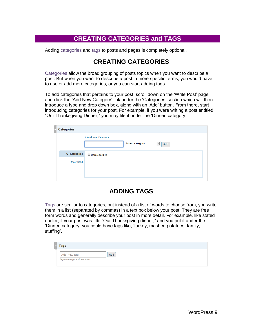#### **CREATING CATEGORIES and TAGS**

Adding categories and tags to posts and pages is completely optional.

#### **CREATING CATEGORIES**

Categories allow the broad grouping of posts topics when you want to describe a post. But when you want to describe a post in more specific terms, you would have to use or add more categories, or you can start adding tags.

To add categories that pertains to your post, scroll down on the "Write Post" page and click the "Add New Category" link under the "Categories" section which will then introduce a type and drop down box, along with an "Add" button. From there, start introducing categories for your post. For example, if you were writing a post entitled "Our Thanksgiving Dinner," you may file it under the "Dinner" category.

| <b>Categories</b>     |                                                                   |  |
|-----------------------|-------------------------------------------------------------------|--|
|                       | + Add New Category<br>$\overline{\phantom{a}}$<br>Parent category |  |
|                       | Add                                                               |  |
| <b>All Categories</b> | $\Box$ Uncategorized                                              |  |
| <b>Most Used</b>      |                                                                   |  |
|                       |                                                                   |  |
|                       |                                                                   |  |

#### **ADDING TAGS**

Tags are similar to categories, but instead of a list of words to choose from, you write them in a list (separated by commas) in a text box below your post. They are free form words and generally describe your post in more detail. For example, like stated earlier, if your post was title "Our Thanksgiving dinner," and you put it under the "Dinner" category, you could have tags like, "turkey, mashed potatoes, family, stuffing'.

| Add new tag | Add |  |
|-------------|-----|--|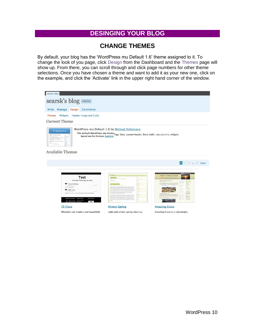## **DESINGING YOUR BLOG**

#### **CHANGE THEMES**

By default, your blog has the "WordPress mu Default 1.6" theme assigned to it. To change the look of you page, click Design from the Dashboard and the Themes page will show up. From there, you can scroll through and click page numbers for other theme selections. Once you have chosen a theme and want to add it as your new one, click on the example, and click the 'Activate' link in the upper right hand corner of the window.

| searsk's blog                                                                                                                                                                                                                                  |                                                                                                                                                                                                                                                                                                                                                                                                                                                                                                                                                                                                                                                                                                                                                                                                                                                                                                                                                                      |                                                                            |
|------------------------------------------------------------------------------------------------------------------------------------------------------------------------------------------------------------------------------------------------|----------------------------------------------------------------------------------------------------------------------------------------------------------------------------------------------------------------------------------------------------------------------------------------------------------------------------------------------------------------------------------------------------------------------------------------------------------------------------------------------------------------------------------------------------------------------------------------------------------------------------------------------------------------------------------------------------------------------------------------------------------------------------------------------------------------------------------------------------------------------------------------------------------------------------------------------------------------------|----------------------------------------------------------------------------|
| searsk's blog Visit Site                                                                                                                                                                                                                       |                                                                                                                                                                                                                                                                                                                                                                                                                                                                                                                                                                                                                                                                                                                                                                                                                                                                                                                                                                      |                                                                            |
|                                                                                                                                                                                                                                                |                                                                                                                                                                                                                                                                                                                                                                                                                                                                                                                                                                                                                                                                                                                                                                                                                                                                                                                                                                      |                                                                            |
| Write Manage<br>Design<br><b>Comments</b>                                                                                                                                                                                                      |                                                                                                                                                                                                                                                                                                                                                                                                                                                                                                                                                                                                                                                                                                                                                                                                                                                                                                                                                                      |                                                                            |
| Widgets<br>Header Image and Color<br><b>Themes</b>                                                                                                                                                                                             |                                                                                                                                                                                                                                                                                                                                                                                                                                                                                                                                                                                                                                                                                                                                                                                                                                                                                                                                                                      |                                                                            |
| <b>Current Theme</b>                                                                                                                                                                                                                           |                                                                                                                                                                                                                                                                                                                                                                                                                                                                                                                                                                                                                                                                                                                                                                                                                                                                                                                                                                      |                                                                            |
| The WRC Theme Viewer<br><b>Available Themes</b>                                                                                                                                                                                                | WordPress mu Default 1.6 by Michael Heilemann<br>The default WordPress mu theme-Tags: blue, custom header, fixed width, two columns, widgets<br>based on the famous Kubrick.                                                                                                                                                                                                                                                                                                                                                                                                                                                                                                                                                                                                                                                                                                                                                                                         |                                                                            |
|                                                                                                                                                                                                                                                |                                                                                                                                                                                                                                                                                                                                                                                                                                                                                                                                                                                                                                                                                                                                                                                                                                                                                                                                                                      | 1 2 3  8 Next »                                                            |
| Test<br>Just another Trinityweblog.org weblog<br>Test post with tags<br><b>By Proposition</b><br>Test post, with every legs.<br>Hello world!<br>Balcome to Titish autobiogram. This is your first just. Edit or skiels it. Ban start biogging! | <b>Test Blog</b><br>: Hallis Wenter<br><b>AVENT BICERS</b><br><b>Allengary Allen</b><br>E<br>an one a bearing telephone and are<br>a chief representation of the model of the control of the original<br>$\begin{minipage}[t]{0.0\textwidth} \begin{tabular}{lcccc} \hline \textbf{0.0\textwidth} & \textbf{0.0\textwidth} & \textbf{0.0\textwidth} & \textbf{0.0\textwidth} & \textbf{0.0\textwidth} & \textbf{0.0\textwidth} & \textbf{0.0\textwidth} & \textbf{0.0\textwidth} & \textbf{0.0\textwidth} & \textbf{0.0\textwidth} & \textbf{0.0\textwidth} & \textbf{0.0\textwidth} & \textbf{0.0\textwidth} & \textbf{0.0\textwidth} & \textbf{0.0\textwidth} & \textbf{0.0\textwidth} &$<br><b>Termin</b><br>We intered into<br>perceptive state from the dynamics state operator $\mathbf{w}$<br>space of the state perceptive of the state of the following state operator<br>$\mathbf{w}$ and the state of the state of the state operator<br>$\mathbf{w}$ and | Vladimir Prelovac Online!<br>drag Nature Park Fairy Tale<br><b>Million</b> |
| Recent Comments Recent Posts<br><b>Floke Photos</b>                                                                                                                                                                                            | Francis<br>technic, Nart ein Pieter, parts of situs, mokinisch ar, monithar 14.<br><b>Halley</b>                                                                                                                                                                                                                                                                                                                                                                                                                                                                                                                                                                                                                                                                                                                                                                                                                                                                     |                                                                            |
| <b>72 Class</b>                                                                                                                                                                                                                                | <b>Almost Spring</b>                                                                                                                                                                                                                                                                                                                                                                                                                                                                                                                                                                                                                                                                                                                                                                                                                                                                                                                                                 | <b>Amazing Grace</b>                                                       |
| Minmalist yet modern and beautifully                                                                                                                                                                                                           | Light and simple spring cleaning.                                                                                                                                                                                                                                                                                                                                                                                                                                                                                                                                                                                                                                                                                                                                                                                                                                                                                                                                    | Amazing Grace is a lightweight,                                            |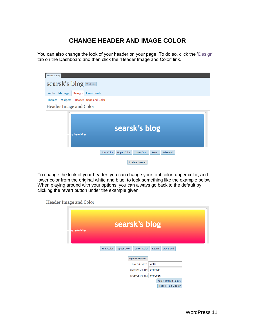## **CHANGE HEADER AND IMAGE COLOR**

You can also change the look of your header on your page. To do so, click the "Design" tab on the Dashboard and then click the 'Header Image and Color' link.

| searsk's blog                                                                              |
|--------------------------------------------------------------------------------------------|
| <b>searsk's blog</b> Visit Site                                                            |
| <b>Manage</b><br><b>Design</b><br>Write<br><b>Comments</b>                                 |
| <b>Themes</b><br>Widgets<br><b>Header Image and Color</b>                                  |
| Header Image and Color                                                                     |
| searsk's blog<br>ig bgsu blog                                                              |
| <b>Font Color</b><br><b>Upper Color</b><br><b>Lower Color</b><br>Advanced<br><b>Revert</b> |
| <b>Update Header</b>                                                                       |

To change the look of your header, you can change your font color, upper color, and lower color from the original white and blue, to look something like the example below. When playing around with your options, you can always go back to the default by clicking the revert button under the example given.

Header Image and Color

| ig bgsu blog                            | searsk's blog        |         |                              |  |
|-----------------------------------------|----------------------|---------|------------------------------|--|
| <b>Font Color</b><br><b>Upper Color</b> | <b>Lower Color</b>   | Revert  | Advanced                     |  |
|                                         | <b>Update Header</b> |         |                              |  |
|                                         | Font Color (CSS):    | white   |                              |  |
|                                         | Upper Color (HEX):   | #FFFF3F |                              |  |
| #FF0066<br>Lower Color (HEX):           |                      |         |                              |  |
|                                         |                      |         | <b>Select Default Colors</b> |  |
|                                         |                      |         | <b>Toggle Text Display</b>   |  |